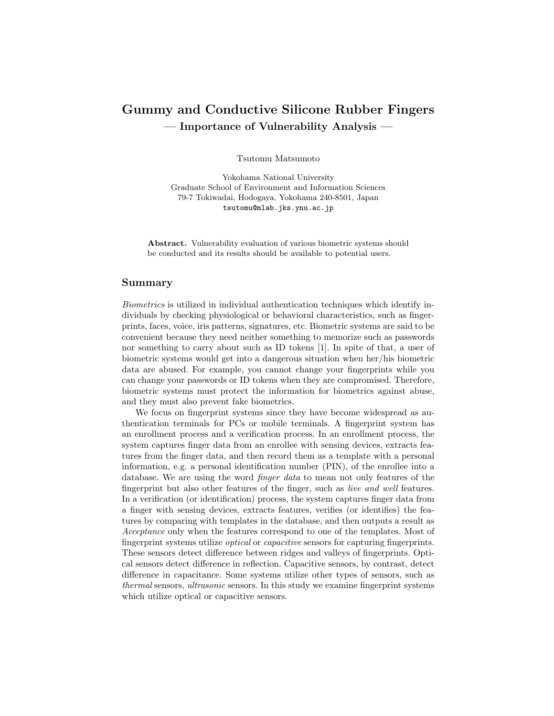## Gummy and Conductive Silicone Rubber Fingers — Importance of Vulnerability Analysis —

Tsutomu Matsumoto

Yokohama National University Graduate School of Environment and Information Sciences 79-7 Tokiwadai, Hodogaya, Yokohama 240-8501, Japan tsutomu@mlab.jks.ynu.ac.jp

Abstract. Vulnerability evaluation of various biometric systems should be conducted and its results should be available to potential users.

## Summary

Biometrics is utilized in individual authentication techniques which identify individuals by checking physiological or behavioral characteristics, such as fingerprints, faces, voice, iris patterns, signatures, etc. Biometric systems are said to be convenient because they need neither something to memorize such as passwords nor something to carry about such as ID tokens [1]. In spite of that, a user of biometric systems would get into a dangerous situation when her/his biometric data are abused. For example, you cannot change your fingerprints while you can change your passwords or ID tokens when they are compromised. Therefore, biometric systems must protect the information for biometrics against abuse, and they must also prevent fake biometrics.

We focus on fingerprint systems since they have become widespread as authentication terminals for PCs or mobile terminals. A fingerprint system has an enrollment process and a verification process. In an enrollment process, the system captures finger data from an enrollee with sensing devices, extracts features from the finger data, and then record them as a template with a personal information, e.g. a personal identification number (PIN), of the enrollee into a database. We are using the word finger data to mean not only features of the fingerprint but also other features of the finger, such as live and well features. In a verification (or identification) process, the system captures finger data from a finger with sensing devices, extracts features, verifies (or identifies) the features by comparing with templates in the database, and then outputs a result as Acceptance only when the features correspond to one of the templates. Most of fingerprint systems utilize optical or capacitive sensors for capturing fingerprints. These sensors detect difference between ridges and valleys of fingerprints. Optical sensors detect difference in reflection. Capacitive sensors, by contrast, detect difference in capacitance. Some systems utilize other types of sensors, such as thermal sensors, ultrasonic sensors. In this study we examine fingerprint systems which utilize optical or capacitive sensors.